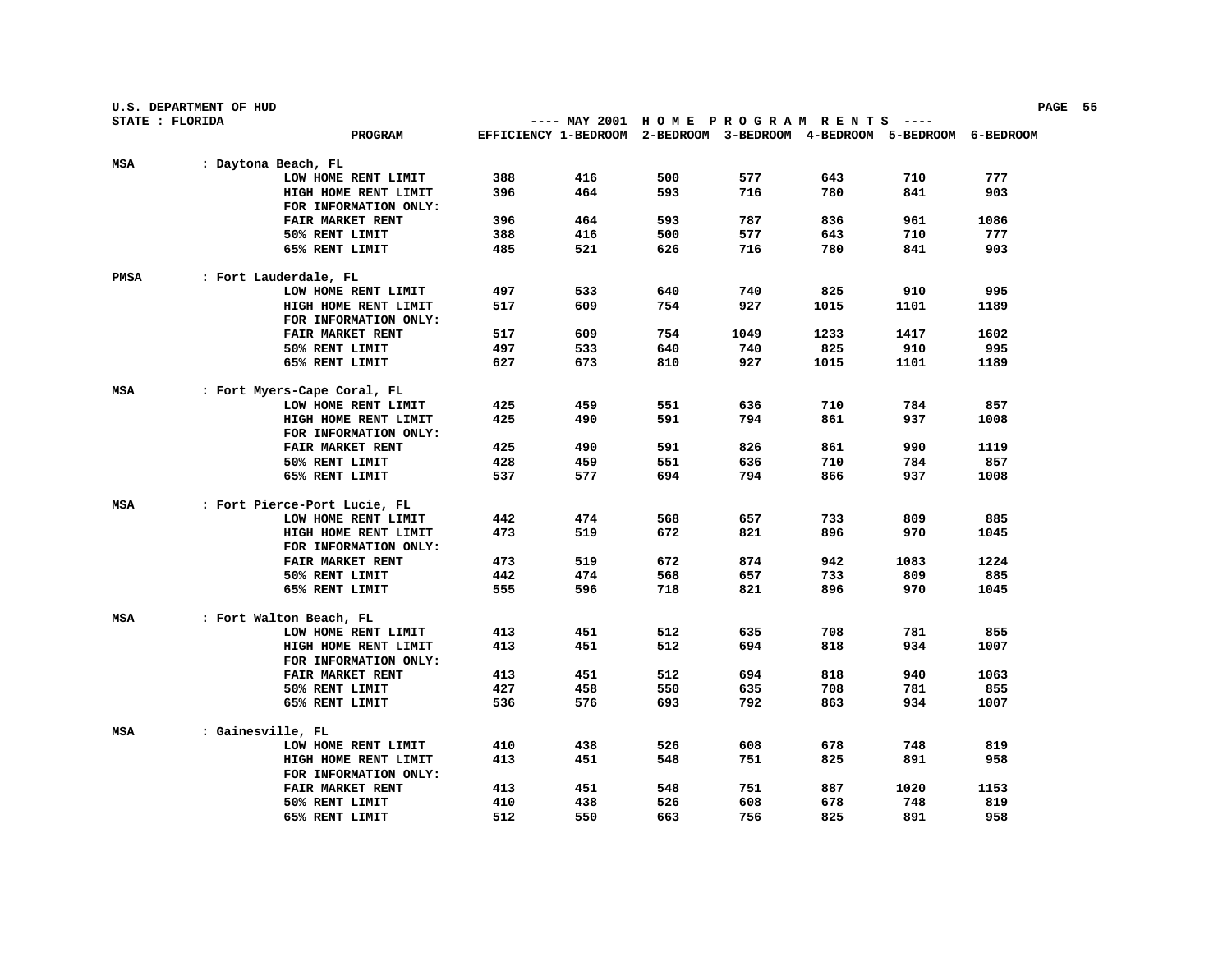|                 | U.S. DEPARTMENT OF HUD |                                                    |     |                                                                        |     |      |      |      |      | PAGE 55 |  |
|-----------------|------------------------|----------------------------------------------------|-----|------------------------------------------------------------------------|-----|------|------|------|------|---------|--|
| STATE : FLORIDA |                        |                                                    |     | ---- MAY 2001 HOME PROGRAM RENTS ----                                  |     |      |      |      |      |         |  |
|                 |                        | <b>PROGRAM</b>                                     |     | EFFICIENCY 1-BEDROOM 2-BEDROOM 3-BEDROOM 4-BEDROOM 5-BEDROOM 6-BEDROOM |     |      |      |      |      |         |  |
| MSA             | : Daytona Beach, FL    |                                                    |     |                                                                        |     |      |      |      |      |         |  |
|                 |                        | LOW HOME RENT LIMIT                                | 388 | 416                                                                    | 500 | 577  | 643  | 710  | 777  |         |  |
|                 |                        | HIGH HOME RENT LIMIT                               | 396 | 464                                                                    | 593 | 716  | 780  | 841  | 903  |         |  |
|                 |                        | FOR INFORMATION ONLY:                              |     |                                                                        |     |      |      |      |      |         |  |
|                 |                        | FAIR MARKET RENT                                   | 396 | 464                                                                    | 593 | 787  | 836  | 961  | 1086 |         |  |
|                 |                        | 50% RENT LIMIT                                     | 388 | 416                                                                    | 500 | 577  | 643  | 710  | 777  |         |  |
|                 |                        | 65% RENT LIMIT                                     | 485 | 521                                                                    | 626 | 716  | 780  | 841  | 903  |         |  |
|                 |                        |                                                    |     |                                                                        |     |      |      |      |      |         |  |
| PMSA            |                        | : Fort Lauderdale, FL                              |     |                                                                        |     |      |      |      |      |         |  |
|                 |                        | LOW HOME RENT LIMIT                                | 497 | 533                                                                    | 640 | 740  | 825  | 910  | 995  |         |  |
|                 |                        | HIGH HOME RENT LIMIT                               | 517 | 609                                                                    | 754 | 927  | 1015 | 1101 | 1189 |         |  |
|                 |                        | FOR INFORMATION ONLY:                              |     |                                                                        |     |      |      |      |      |         |  |
|                 |                        | FAIR MARKET RENT                                   | 517 | 609                                                                    | 754 | 1049 | 1233 | 1417 | 1602 |         |  |
|                 |                        | 50% RENT LIMIT                                     | 497 | 533                                                                    | 640 | 740  | 825  | 910  | 995  |         |  |
|                 |                        | 65% RENT LIMIT                                     | 627 | 673                                                                    | 810 | 927  | 1015 | 1101 | 1189 |         |  |
|                 |                        |                                                    |     |                                                                        |     |      |      |      |      |         |  |
| MSA             |                        | : Fort Myers-Cape Coral, FL<br>LOW HOME RENT LIMIT | 425 | 459                                                                    | 551 | 636  | 710  | 784  | 857  |         |  |
|                 |                        | HIGH HOME RENT LIMIT                               | 425 | 490                                                                    | 591 | 794  | 861  | 937  | 1008 |         |  |
|                 |                        | FOR INFORMATION ONLY:                              |     |                                                                        |     |      |      |      |      |         |  |
|                 |                        | FAIR MARKET RENT                                   | 425 | 490                                                                    | 591 | 826  | 861  | 990  | 1119 |         |  |
|                 |                        | 50% RENT LIMIT                                     | 428 | 459                                                                    | 551 | 636  | 710  | 784  | 857  |         |  |
|                 |                        | 65% RENT LIMIT                                     | 537 | 577                                                                    | 694 | 794  | 866  | 937  | 1008 |         |  |
|                 |                        |                                                    |     |                                                                        |     |      |      |      |      |         |  |
| MSA             |                        | : Fort Pierce-Port Lucie, FL                       |     |                                                                        |     |      |      |      |      |         |  |
|                 |                        | LOW HOME RENT LIMIT                                | 442 | 474                                                                    | 568 | 657  | 733  | 809  | 885  |         |  |
|                 |                        | HIGH HOME RENT LIMIT                               | 473 | 519                                                                    | 672 | 821  | 896  | 970  | 1045 |         |  |
|                 |                        | FOR INFORMATION ONLY:                              |     |                                                                        |     |      |      |      |      |         |  |
|                 |                        | FAIR MARKET RENT                                   | 473 | 519                                                                    | 672 | 874  | 942  | 1083 | 1224 |         |  |
|                 |                        | 50% RENT LIMIT                                     | 442 | 474                                                                    | 568 | 657  | 733  | 809  | 885  |         |  |
|                 |                        | 65% RENT LIMIT                                     | 555 | 596                                                                    | 718 | 821  | 896  | 970  | 1045 |         |  |
| MSA             |                        |                                                    |     |                                                                        |     |      |      |      |      |         |  |
|                 |                        | : Fort Walton Beach, FL<br>LOW HOME RENT LIMIT     | 413 | 451                                                                    | 512 | 635  | 708  | 781  | 855  |         |  |
|                 |                        | HIGH HOME RENT LIMIT                               | 413 | 451                                                                    | 512 | 694  | 818  | 934  | 1007 |         |  |
|                 |                        | FOR INFORMATION ONLY:                              |     |                                                                        |     |      |      |      |      |         |  |
|                 |                        | FAIR MARKET RENT                                   | 413 | 451                                                                    | 512 | 694  | 818  | 940  | 1063 |         |  |
|                 |                        | 50% RENT LIMIT                                     | 427 | 458                                                                    | 550 | 635  | 708  | 781  | 855  |         |  |
|                 |                        | 65% RENT LIMIT                                     | 536 | 576                                                                    | 693 | 792  | 863  | 934  | 1007 |         |  |
|                 |                        |                                                    |     |                                                                        |     |      |      |      |      |         |  |
| MSA             | : Gainesville, FL      |                                                    |     |                                                                        |     |      |      |      |      |         |  |
|                 |                        | LOW HOME RENT LIMIT                                | 410 | 438                                                                    | 526 | 608  | 678  | 748  | 819  |         |  |
|                 |                        | HIGH HOME RENT LIMIT                               | 413 | 451                                                                    | 548 | 751  | 825  | 891  | 958  |         |  |
|                 |                        | FOR INFORMATION ONLY:                              |     |                                                                        |     |      |      |      |      |         |  |
|                 |                        | FAIR MARKET RENT                                   | 413 | 451                                                                    | 548 | 751  | 887  | 1020 | 1153 |         |  |
|                 |                        | 50% RENT LIMIT                                     | 410 | 438                                                                    | 526 | 608  | 678  | 748  | 819  |         |  |
|                 |                        | 65% RENT LIMIT                                     | 512 | 550                                                                    | 663 | 756  | 825  | 891  | 958  |         |  |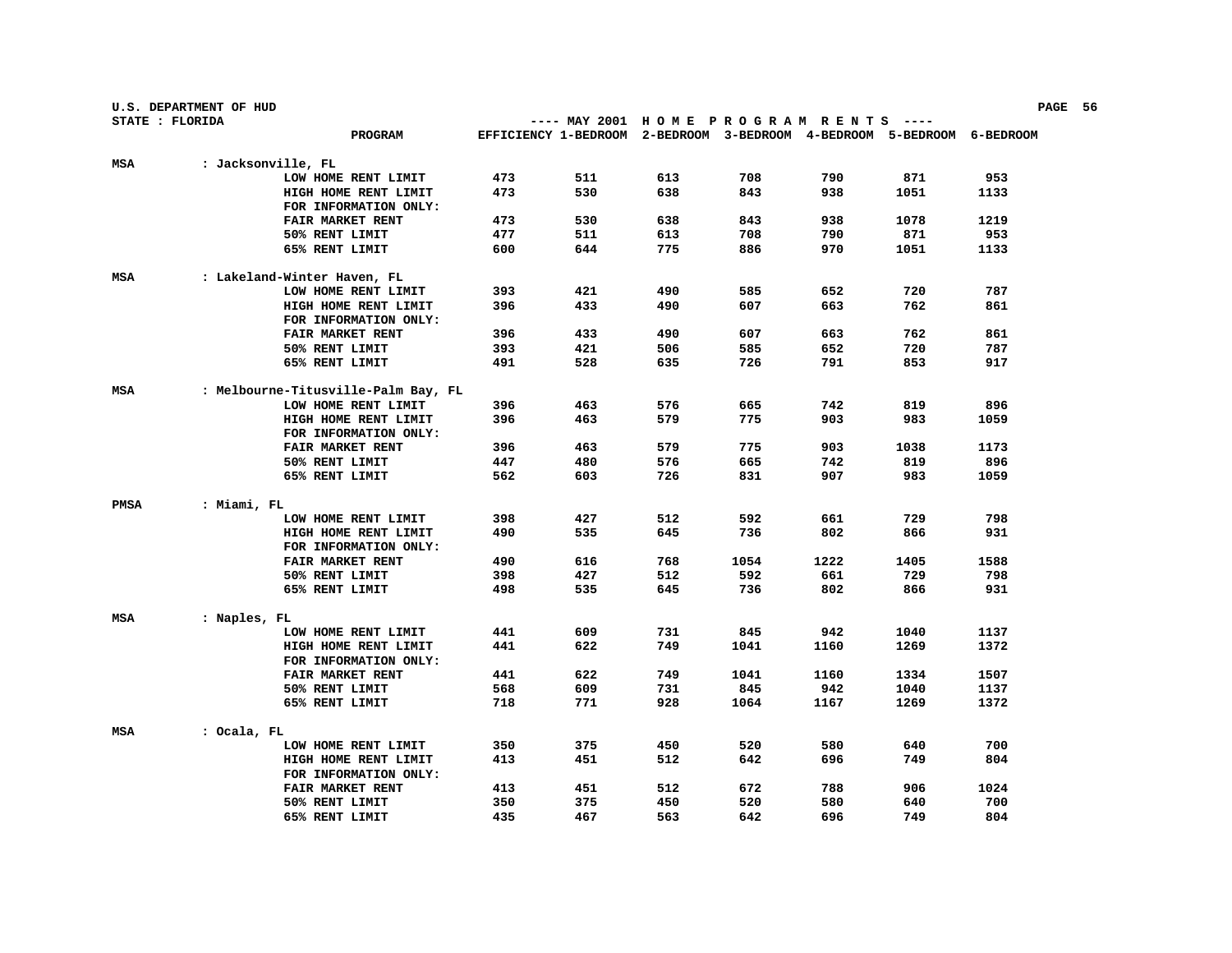|      | U.S. DEPARTMENT OF HUD |                                                            |     |                                                                        |     |      |      |      |      | PAGE 56 |  |
|------|------------------------|------------------------------------------------------------|-----|------------------------------------------------------------------------|-----|------|------|------|------|---------|--|
|      | STATE : FLORIDA        |                                                            |     | ---- MAY 2001 HOME PROGRAM RENTS ----                                  |     |      |      |      |      |         |  |
|      |                        | <b>PROGRAM</b>                                             |     | EFFICIENCY 1-BEDROOM 2-BEDROOM 3-BEDROOM 4-BEDROOM 5-BEDROOM 6-BEDROOM |     |      |      |      |      |         |  |
| MSA  | : Jacksonville, FL     |                                                            |     |                                                                        |     |      |      |      |      |         |  |
|      |                        | LOW HOME RENT LIMIT                                        | 473 | 511                                                                    | 613 | 708  | 790  | 871  | 953  |         |  |
|      |                        | HIGH HOME RENT LIMIT                                       | 473 | 530                                                                    | 638 | 843  | 938  | 1051 | 1133 |         |  |
|      |                        | FOR INFORMATION ONLY:                                      |     |                                                                        |     |      |      |      |      |         |  |
|      |                        | FAIR MARKET RENT                                           | 473 | 530                                                                    | 638 | 843  | 938  | 1078 | 1219 |         |  |
|      |                        | 50% RENT LIMIT                                             | 477 | 511                                                                    | 613 | 708  | 790  | 871  | 953  |         |  |
|      |                        | 65% RENT LIMIT                                             | 600 | 644                                                                    | 775 | 886  | 970  | 1051 | 1133 |         |  |
|      |                        |                                                            |     |                                                                        |     |      |      |      |      |         |  |
| MSA  |                        | : Lakeland-Winter Haven, FL                                |     |                                                                        |     |      |      |      |      |         |  |
|      |                        | LOW HOME RENT LIMIT                                        | 393 | 421                                                                    | 490 | 585  | 652  | 720  | 787  |         |  |
|      |                        | HIGH HOME RENT LIMIT                                       | 396 | 433                                                                    | 490 | 607  | 663  | 762  | 861  |         |  |
|      |                        | FOR INFORMATION ONLY:                                      |     |                                                                        |     |      |      |      |      |         |  |
|      |                        | FAIR MARKET RENT                                           | 396 | 433                                                                    | 490 | 607  | 663  | 762  | 861  |         |  |
|      |                        | 50% RENT LIMIT                                             | 393 | 421                                                                    | 506 | 585  | 652  | 720  | 787  |         |  |
|      |                        | 65% RENT LIMIT                                             | 491 | 528                                                                    | 635 | 726  | 791  | 853  | 917  |         |  |
|      |                        |                                                            |     |                                                                        |     |      |      |      |      |         |  |
| MSA  |                        | : Melbourne-Titusville-Palm Bay, FL<br>LOW HOME RENT LIMIT | 396 | 463                                                                    | 576 | 665  | 742  | 819  | 896  |         |  |
|      |                        | HIGH HOME RENT LIMIT                                       | 396 | 463                                                                    | 579 | 775  | 903  | 983  | 1059 |         |  |
|      |                        | FOR INFORMATION ONLY:                                      |     |                                                                        |     |      |      |      |      |         |  |
|      |                        | <b>FAIR MARKET RENT</b>                                    | 396 | 463                                                                    | 579 | 775  | 903  | 1038 | 1173 |         |  |
|      |                        | 50% RENT LIMIT                                             | 447 | 480                                                                    | 576 | 665  | 742  | 819  | 896  |         |  |
|      |                        | 65% RENT LIMIT                                             | 562 | 603                                                                    | 726 | 831  | 907  | 983  | 1059 |         |  |
|      |                        |                                                            |     |                                                                        |     |      |      |      |      |         |  |
| PMSA | : Miami, FL            |                                                            |     |                                                                        |     |      |      |      |      |         |  |
|      |                        | LOW HOME RENT LIMIT                                        | 398 | 427                                                                    | 512 | 592  | 661  | 729  | 798  |         |  |
|      |                        | HIGH HOME RENT LIMIT                                       | 490 | 535                                                                    | 645 | 736  | 802  | 866  | 931  |         |  |
|      |                        | FOR INFORMATION ONLY:                                      |     |                                                                        |     |      |      |      |      |         |  |
|      |                        | FAIR MARKET RENT                                           | 490 | 616                                                                    | 768 | 1054 | 1222 | 1405 | 1588 |         |  |
|      |                        | 50% RENT LIMIT                                             | 398 | 427                                                                    | 512 | 592  | 661  | 729  | 798  |         |  |
|      |                        | 65% RENT LIMIT                                             | 498 | 535                                                                    | 645 | 736  | 802  | 866  | 931  |         |  |
| MSA  | : Naples, FL           |                                                            |     |                                                                        |     |      |      |      |      |         |  |
|      |                        | LOW HOME RENT LIMIT                                        | 441 | 609                                                                    | 731 | 845  | 942  | 1040 | 1137 |         |  |
|      |                        | HIGH HOME RENT LIMIT                                       | 441 | 622                                                                    | 749 | 1041 | 1160 | 1269 | 1372 |         |  |
|      |                        | FOR INFORMATION ONLY:                                      |     |                                                                        |     |      |      |      |      |         |  |
|      |                        | FAIR MARKET RENT                                           | 441 | 622                                                                    | 749 | 1041 | 1160 | 1334 | 1507 |         |  |
|      |                        | 50% RENT LIMIT                                             | 568 | 609                                                                    | 731 | 845  | 942  | 1040 | 1137 |         |  |
|      |                        | 65% RENT LIMIT                                             | 718 | 771                                                                    | 928 | 1064 | 1167 | 1269 | 1372 |         |  |
|      |                        |                                                            |     |                                                                        |     |      |      |      |      |         |  |
| MSA  | : Ocala, FL            |                                                            |     |                                                                        |     |      |      |      |      |         |  |
|      |                        | LOW HOME RENT LIMIT                                        | 350 | 375                                                                    | 450 | 520  | 580  | 640  | 700  |         |  |
|      |                        | HIGH HOME RENT LIMIT                                       | 413 | 451                                                                    | 512 | 642  | 696  | 749  | 804  |         |  |
|      |                        | FOR INFORMATION ONLY:                                      |     |                                                                        |     |      |      |      |      |         |  |
|      |                        | FAIR MARKET RENT                                           | 413 | 451                                                                    | 512 | 672  | 788  | 906  | 1024 |         |  |
|      |                        | 50% RENT LIMIT                                             | 350 | 375                                                                    | 450 | 520  | 580  | 640  | 700  |         |  |
|      |                        | 65% RENT LIMIT                                             | 435 | 467                                                                    | 563 | 642  | 696  | 749  | 804  |         |  |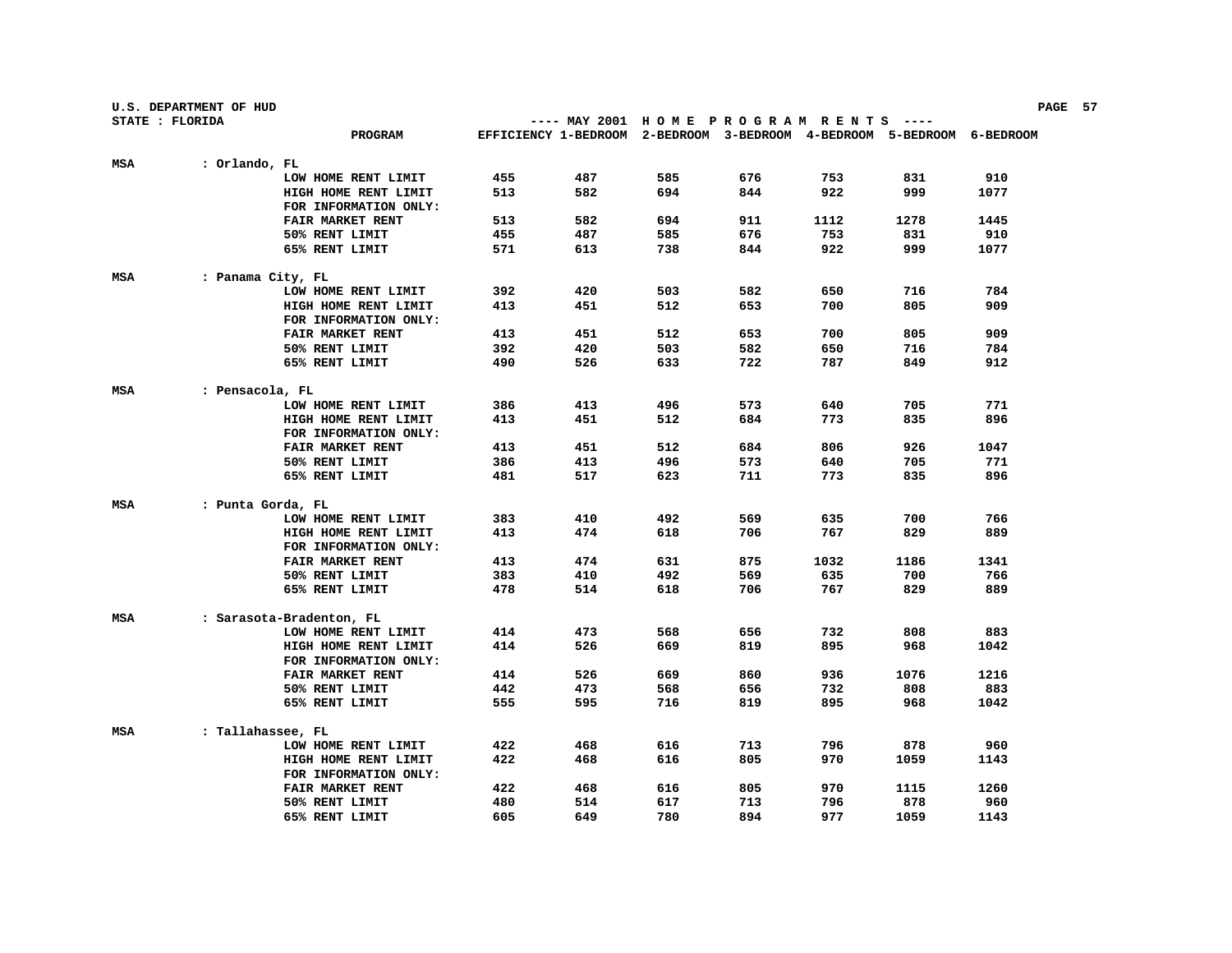|                 | U.S. DEPARTMENT OF HUD |                                  |     |                                                                        |            |            |            |             |             | PAGE 57 |  |
|-----------------|------------------------|----------------------------------|-----|------------------------------------------------------------------------|------------|------------|------------|-------------|-------------|---------|--|
| STATE : FLORIDA |                        |                                  |     | ---- MAY 2001 HOME PROGRAM RENTS ----                                  |            |            |            |             |             |         |  |
|                 |                        | PROGRAM                          |     | EFFICIENCY 1-BEDROOM 2-BEDROOM 3-BEDROOM 4-BEDROOM 5-BEDROOM 6-BEDROOM |            |            |            |             |             |         |  |
| MSA             | : Orlando, FL          |                                  |     |                                                                        |            |            |            |             |             |         |  |
|                 |                        | LOW HOME RENT LIMIT              | 455 | 487                                                                    | 585        | 676        | 753        | 831         | 910         |         |  |
|                 |                        | HIGH HOME RENT LIMIT             | 513 | 582                                                                    | 694        | 844        | 922        | 999         | 1077        |         |  |
|                 |                        | FOR INFORMATION ONLY:            |     |                                                                        |            |            |            |             |             |         |  |
|                 |                        | FAIR MARKET RENT                 | 513 | 582                                                                    | 694        | 911        | 1112       | 1278        | 1445        |         |  |
|                 |                        | 50% RENT LIMIT                   | 455 | 487                                                                    | 585        | 676        | 753        | 831         | 910         |         |  |
|                 |                        | 65% RENT LIMIT                   | 571 | 613                                                                    | 738        | 844        | 922        | 999         | 1077        |         |  |
|                 |                        |                                  |     |                                                                        |            |            |            |             |             |         |  |
| MSA             | : Panama City, FL      |                                  |     |                                                                        |            |            |            |             |             |         |  |
|                 |                        | LOW HOME RENT LIMIT              | 392 | 420                                                                    | 503        | 582        | 650        | 716         | 784         |         |  |
|                 |                        | HIGH HOME RENT LIMIT             | 413 | 451                                                                    | 512        | 653        | 700        | 805         | 909         |         |  |
|                 |                        | FOR INFORMATION ONLY:            |     |                                                                        |            |            |            |             |             |         |  |
|                 |                        | <b>FAIR MARKET RENT</b>          | 413 | 451                                                                    | 512        | 653        | 700        | 805         | 909         |         |  |
|                 |                        | 50% RENT LIMIT                   | 392 | 420                                                                    | 503        | 582        | 650        | 716         | 784         |         |  |
|                 |                        | 65% RENT LIMIT                   | 490 | 526                                                                    | 633        | 722        | 787        | 849         | 912         |         |  |
| MSA             | : Pensacola, FL        |                                  |     |                                                                        |            |            |            |             |             |         |  |
|                 |                        | LOW HOME RENT LIMIT              | 386 | 413                                                                    | 496        | 573        | 640        | 705         | 771         |         |  |
|                 |                        | HIGH HOME RENT LIMIT             | 413 | 451                                                                    | 512        | 684        | 773        | 835         | 896         |         |  |
|                 |                        | FOR INFORMATION ONLY:            |     |                                                                        |            |            |            |             |             |         |  |
|                 |                        | <b>FAIR MARKET RENT</b>          | 413 | 451                                                                    | 512        | 684        | 806        | 926         | 1047        |         |  |
|                 |                        | 50% RENT LIMIT                   | 386 | 413                                                                    | 496        | 573        | 640        | 705         | 771         |         |  |
|                 |                        | 65% RENT LIMIT                   | 481 | 517                                                                    | 623        | 711        | 773        | 835         | 896         |         |  |
|                 |                        |                                  |     |                                                                        |            |            |            |             |             |         |  |
| MSA             | : Punta Gorda, FL      |                                  |     |                                                                        |            |            |            |             |             |         |  |
|                 |                        | LOW HOME RENT LIMIT              | 383 | 410                                                                    | 492        | 569        | 635        | 700         | 766         |         |  |
|                 |                        | HIGH HOME RENT LIMIT             | 413 | 474                                                                    | 618        | 706        | 767        | 829         | 889         |         |  |
|                 |                        | FOR INFORMATION ONLY:            |     |                                                                        |            |            |            |             |             |         |  |
|                 |                        | FAIR MARKET RENT                 | 413 | 474                                                                    | 631        | 875        | 1032       | 1186        | 1341        |         |  |
|                 |                        | 50% RENT LIMIT                   | 383 | 410                                                                    | 492        | 569        | 635        | 700         | 766         |         |  |
|                 |                        | 65% RENT LIMIT                   | 478 | 514                                                                    | 618        | 706        | 767        | 829         | 889         |         |  |
| MSA             |                        | : Sarasota-Bradenton, FL         |     |                                                                        |            |            |            |             |             |         |  |
|                 |                        | LOW HOME RENT LIMIT              | 414 | 473                                                                    | 568        | 656        | 732        | 808         | 883         |         |  |
|                 |                        | HIGH HOME RENT LIMIT             | 414 | 526                                                                    | 669        | 819        | 895        | 968         | 1042        |         |  |
|                 |                        | FOR INFORMATION ONLY:            |     |                                                                        |            |            |            |             |             |         |  |
|                 |                        | FAIR MARKET RENT                 | 414 | 526                                                                    | 669        | 860        | 936        | 1076        | 1216        |         |  |
|                 |                        | 50% RENT LIMIT                   | 442 | 473                                                                    | 568        | 656        | 732        | 808         | 883         |         |  |
|                 |                        | 65% RENT LIMIT                   | 555 | 595                                                                    | 716        | 819        | 895        | 968         | 1042        |         |  |
|                 |                        |                                  |     |                                                                        |            |            |            |             |             |         |  |
| MSA             | : Tallahassee, FL      |                                  |     |                                                                        |            |            |            |             |             |         |  |
|                 |                        | LOW HOME RENT LIMIT              | 422 | 468                                                                    | 616        | 713        | 796        | 878         | 960         |         |  |
|                 |                        | HIGH HOME RENT LIMIT             | 422 | 468                                                                    | 616        | 805        | 970        | 1059        | 1143        |         |  |
|                 |                        | FOR INFORMATION ONLY:            | 422 |                                                                        |            |            |            |             |             |         |  |
|                 |                        | FAIR MARKET RENT                 | 480 | 468<br>514                                                             | 616<br>617 | 805<br>713 | 970<br>796 | 1115<br>878 | 1260<br>960 |         |  |
|                 |                        | 50% RENT LIMIT<br>65% RENT LIMIT | 605 | 649                                                                    | 780        | 894        | 977        | 1059        | 1143        |         |  |
|                 |                        |                                  |     |                                                                        |            |            |            |             |             |         |  |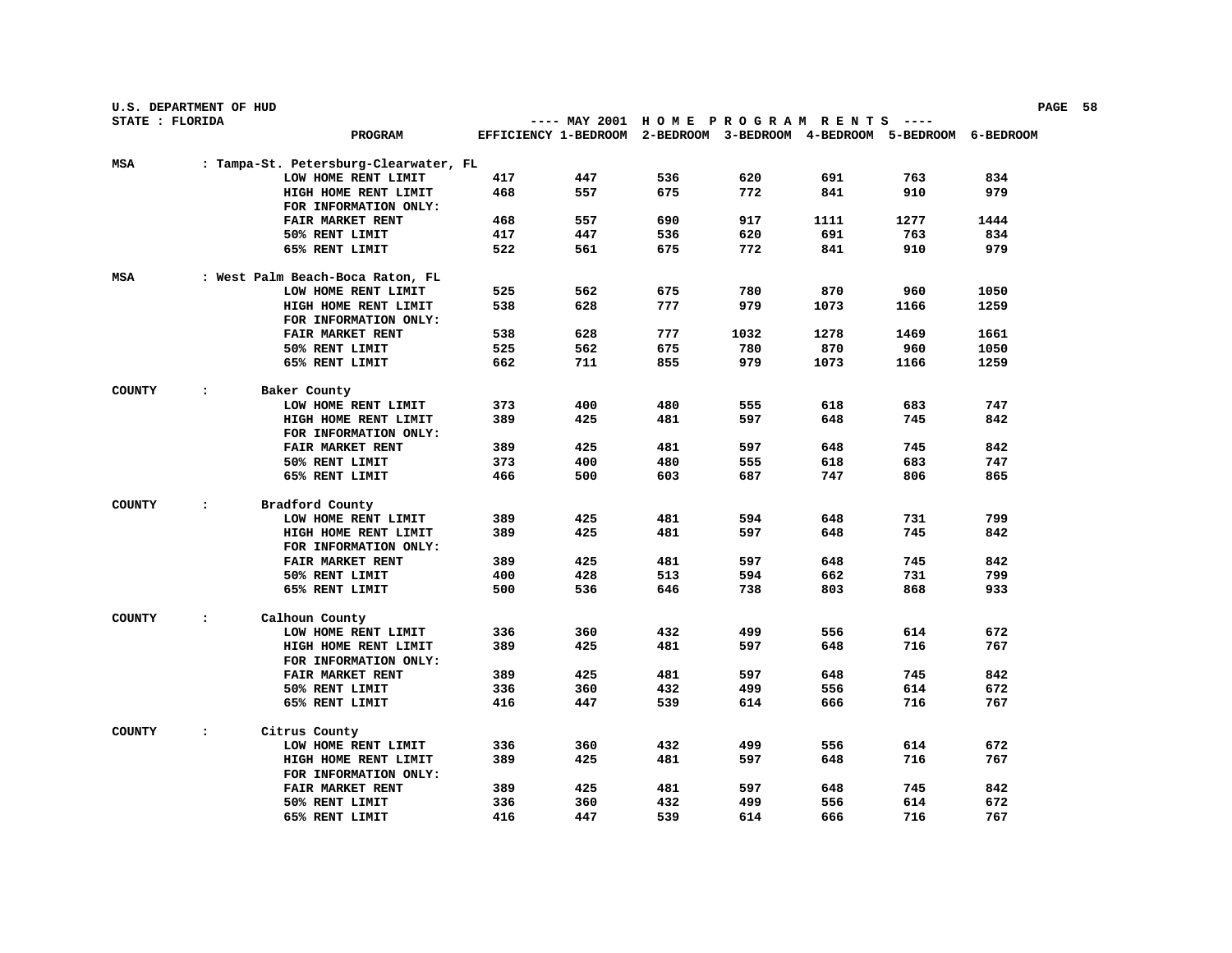|                 | U.S. DEPARTMENT OF HUD |                                       |     |                                                                        |     |      |      |       |      | PAGE 58 |  |
|-----------------|------------------------|---------------------------------------|-----|------------------------------------------------------------------------|-----|------|------|-------|------|---------|--|
| STATE : FLORIDA |                        |                                       |     | ---- MAY 2001 HOME PROGRAM RENTS                                       |     |      |      | ----- |      |         |  |
|                 |                        | PROGRAM                               |     | EFFICIENCY 1-BEDROOM 2-BEDROOM 3-BEDROOM 4-BEDROOM 5-BEDROOM 6-BEDROOM |     |      |      |       |      |         |  |
| MSA             |                        | : Tampa-St. Petersburg-Clearwater, FL |     |                                                                        |     |      |      |       |      |         |  |
|                 |                        | LOW HOME RENT LIMIT                   | 417 | 447                                                                    | 536 | 620  | 691  | 763   | 834  |         |  |
|                 |                        | HIGH HOME RENT LIMIT                  | 468 | 557                                                                    | 675 | 772  | 841  | 910   | 979  |         |  |
|                 |                        | FOR INFORMATION ONLY:                 |     |                                                                        |     |      |      |       |      |         |  |
|                 |                        | FAIR MARKET RENT                      | 468 | 557                                                                    | 690 | 917  | 1111 | 1277  | 1444 |         |  |
|                 |                        | 50% RENT LIMIT                        | 417 | 447                                                                    | 536 | 620  | 691  | 763   | 834  |         |  |
|                 |                        | 65% RENT LIMIT                        | 522 | 561                                                                    | 675 | 772  | 841  | 910   | 979  |         |  |
| MSA             |                        | : West Palm Beach-Boca Raton, FL      |     |                                                                        |     |      |      |       |      |         |  |
|                 |                        | LOW HOME RENT LIMIT                   | 525 | 562                                                                    | 675 | 780  | 870  | 960   | 1050 |         |  |
|                 |                        | HIGH HOME RENT LIMIT                  | 538 | 628                                                                    | 777 | 979  | 1073 | 1166  | 1259 |         |  |
|                 |                        | FOR INFORMATION ONLY:                 |     |                                                                        |     |      |      |       |      |         |  |
|                 |                        | <b>FAIR MARKET RENT</b>               | 538 | 628                                                                    | 777 | 1032 | 1278 | 1469  | 1661 |         |  |
|                 |                        | 50% RENT LIMIT                        | 525 | 562                                                                    | 675 | 780  | 870  | 960   | 1050 |         |  |
|                 |                        | 65% RENT LIMIT                        | 662 | 711                                                                    | 855 | 979  | 1073 | 1166  | 1259 |         |  |
| <b>COUNTY</b>   | $\ddot{\phantom{a}}$   | Baker County                          |     |                                                                        |     |      |      |       |      |         |  |
|                 |                        | LOW HOME RENT LIMIT                   | 373 | 400                                                                    | 480 | 555  | 618  | 683   | 747  |         |  |
|                 |                        | HIGH HOME RENT LIMIT                  | 389 | 425                                                                    | 481 | 597  | 648  | 745   | 842  |         |  |
|                 |                        | FOR INFORMATION ONLY:                 |     |                                                                        |     |      |      |       |      |         |  |
|                 |                        | <b>FAIR MARKET RENT</b>               | 389 | 425                                                                    | 481 | 597  | 648  | 745   | 842  |         |  |
|                 |                        | 50% RENT LIMIT                        | 373 | 400                                                                    | 480 | 555  | 618  | 683   | 747  |         |  |
|                 |                        | 65% RENT LIMIT                        | 466 | 500                                                                    | 603 | 687  | 747  | 806   | 865  |         |  |
| <b>COUNTY</b>   | $\ddot{\cdot}$         | Bradford County                       |     |                                                                        |     |      |      |       |      |         |  |
|                 |                        | LOW HOME RENT LIMIT                   | 389 | 425                                                                    | 481 | 594  | 648  | 731   | 799  |         |  |
|                 |                        | HIGH HOME RENT LIMIT                  | 389 | 425                                                                    | 481 | 597  | 648  | 745   | 842  |         |  |
|                 |                        | FOR INFORMATION ONLY:                 |     |                                                                        |     |      |      |       |      |         |  |
|                 |                        | <b>FAIR MARKET RENT</b>               | 389 | 425                                                                    | 481 | 597  | 648  | 745   | 842  |         |  |
|                 |                        | 50% RENT LIMIT                        | 400 | 428                                                                    | 513 | 594  | 662  | 731   | 799  |         |  |
|                 |                        | 65% RENT LIMIT                        | 500 | 536                                                                    | 646 | 738  | 803  | 868   | 933  |         |  |
|                 |                        |                                       |     |                                                                        |     |      |      |       |      |         |  |
| <b>COUNTY</b>   | $\ddot{\cdot}$         | Calhoun County                        |     |                                                                        |     |      |      |       |      |         |  |
|                 |                        | LOW HOME RENT LIMIT                   | 336 | 360                                                                    | 432 | 499  | 556  | 614   | 672  |         |  |
|                 |                        | HIGH HOME RENT LIMIT                  | 389 | 425                                                                    | 481 | 597  | 648  | 716   | 767  |         |  |
|                 |                        | FOR INFORMATION ONLY:                 |     |                                                                        |     |      |      |       |      |         |  |
|                 |                        | FAIR MARKET RENT                      | 389 | 425                                                                    | 481 | 597  | 648  | 745   | 842  |         |  |
|                 |                        | 50% RENT LIMIT                        | 336 | 360                                                                    | 432 | 499  | 556  | 614   | 672  |         |  |
|                 |                        | 65% RENT LIMIT                        | 416 | 447                                                                    | 539 | 614  | 666  | 716   | 767  |         |  |
| <b>COUNTY</b>   | $\ddot{\cdot}$         | Citrus County                         |     |                                                                        |     |      |      |       |      |         |  |
|                 |                        | LOW HOME RENT LIMIT                   | 336 | 360                                                                    | 432 | 499  | 556  | 614   | 672  |         |  |
|                 |                        | HIGH HOME RENT LIMIT                  | 389 | 425                                                                    | 481 | 597  | 648  | 716   | 767  |         |  |
|                 |                        | FOR INFORMATION ONLY:                 |     |                                                                        |     |      |      |       |      |         |  |
|                 |                        | FAIR MARKET RENT                      | 389 | 425                                                                    | 481 | 597  | 648  | 745   | 842  |         |  |
|                 |                        | 50% RENT LIMIT                        | 336 | 360                                                                    | 432 | 499  | 556  | 614   | 672  |         |  |
|                 |                        | 65% RENT LIMIT                        | 416 | 447                                                                    | 539 | 614  | 666  | 716   | 767  |         |  |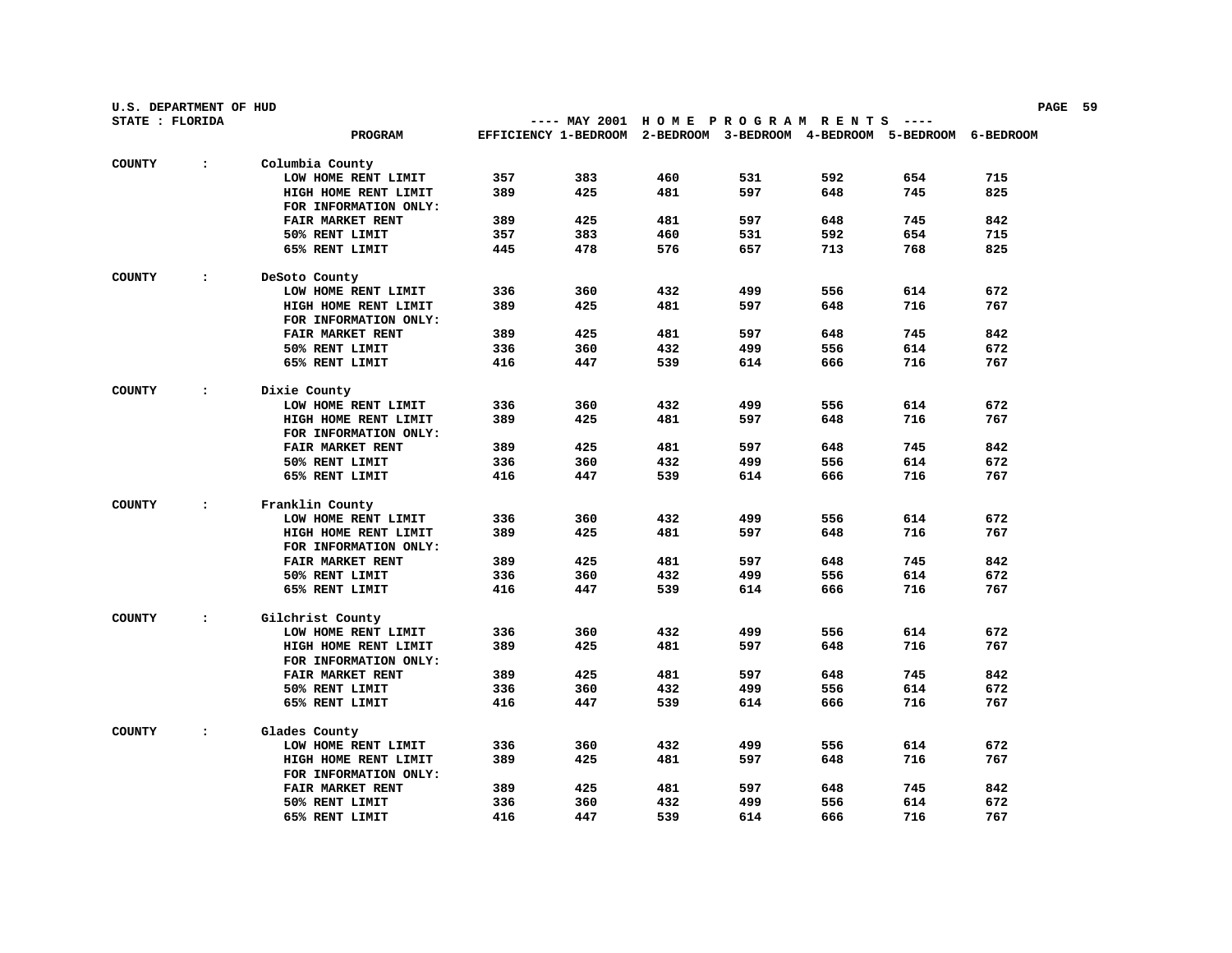| U.S. DEPARTMENT OF HUD |                |                         |     |                                                                        |     |     |     |     |     | PAGE 59 |
|------------------------|----------------|-------------------------|-----|------------------------------------------------------------------------|-----|-----|-----|-----|-----|---------|
| STATE : FLORIDA        |                |                         |     | ---- MAY 2001 HOME PROGRAM RENTS ----                                  |     |     |     |     |     |         |
|                        |                | PROGRAM                 |     | EFFICIENCY 1-BEDROOM 2-BEDROOM 3-BEDROOM 4-BEDROOM 5-BEDROOM 6-BEDROOM |     |     |     |     |     |         |
| <b>COUNTY</b>          | $\ddot{\cdot}$ | Columbia County         |     |                                                                        |     |     |     |     |     |         |
|                        |                | LOW HOME RENT LIMIT     | 357 | 383                                                                    | 460 | 531 | 592 | 654 | 715 |         |
|                        |                | HIGH HOME RENT LIMIT    | 389 | 425                                                                    | 481 | 597 | 648 | 745 | 825 |         |
|                        |                | FOR INFORMATION ONLY:   |     |                                                                        |     |     |     |     |     |         |
|                        |                | <b>FAIR MARKET RENT</b> | 389 | 425                                                                    | 481 | 597 | 648 | 745 | 842 |         |
|                        |                | 50% RENT LIMIT          | 357 | 383                                                                    | 460 | 531 | 592 | 654 | 715 |         |
|                        |                | 65% RENT LIMIT          | 445 | 478                                                                    | 576 | 657 | 713 | 768 | 825 |         |
| <b>COUNTY</b>          | $\ddot{\cdot}$ | DeSoto County           |     |                                                                        |     |     |     |     |     |         |
|                        |                | LOW HOME RENT LIMIT     | 336 | 360                                                                    | 432 | 499 | 556 | 614 | 672 |         |
|                        |                | HIGH HOME RENT LIMIT    | 389 | 425                                                                    | 481 | 597 | 648 | 716 | 767 |         |
|                        |                | FOR INFORMATION ONLY:   |     |                                                                        |     |     |     |     |     |         |
|                        |                | FAIR MARKET RENT        | 389 | 425                                                                    | 481 | 597 | 648 | 745 | 842 |         |
|                        |                | 50% RENT LIMIT          | 336 | 360                                                                    | 432 | 499 | 556 | 614 | 672 |         |
|                        |                | 65% RENT LIMIT          | 416 | 447                                                                    | 539 | 614 | 666 | 716 | 767 |         |
| <b>COUNTY</b>          | $\cdot$        | Dixie County            |     |                                                                        |     |     |     |     |     |         |
|                        |                | LOW HOME RENT LIMIT     | 336 | 360                                                                    | 432 | 499 | 556 | 614 | 672 |         |
|                        |                | HIGH HOME RENT LIMIT    | 389 | 425                                                                    | 481 | 597 | 648 | 716 | 767 |         |
|                        |                | FOR INFORMATION ONLY:   |     |                                                                        |     |     |     |     |     |         |
|                        |                | FAIR MARKET RENT        | 389 | 425                                                                    | 481 | 597 | 648 | 745 | 842 |         |
|                        |                | 50% RENT LIMIT          | 336 | 360                                                                    | 432 | 499 | 556 | 614 | 672 |         |
|                        |                | 65% RENT LIMIT          | 416 | 447                                                                    | 539 | 614 | 666 | 716 | 767 |         |
| <b>COUNTY</b>          | $\ddot{\cdot}$ | Franklin County         |     |                                                                        |     |     |     |     |     |         |
|                        |                | LOW HOME RENT LIMIT     | 336 | 360                                                                    | 432 | 499 | 556 | 614 | 672 |         |
|                        |                | HIGH HOME RENT LIMIT    | 389 | 425                                                                    | 481 | 597 | 648 | 716 | 767 |         |
|                        |                | FOR INFORMATION ONLY:   |     |                                                                        |     |     |     |     |     |         |
|                        |                | FAIR MARKET RENT        | 389 | 425                                                                    | 481 | 597 | 648 | 745 | 842 |         |
|                        |                | 50% RENT LIMIT          | 336 | 360                                                                    | 432 | 499 | 556 | 614 | 672 |         |
|                        |                | 65% RENT LIMIT          | 416 | 447                                                                    | 539 | 614 | 666 | 716 | 767 |         |
| <b>COUNTY</b>          | $\ddot{\cdot}$ | Gilchrist County        |     |                                                                        |     |     |     |     |     |         |
|                        |                | LOW HOME RENT LIMIT     | 336 | 360                                                                    | 432 | 499 | 556 | 614 | 672 |         |
|                        |                | HIGH HOME RENT LIMIT    | 389 | 425                                                                    | 481 | 597 | 648 | 716 | 767 |         |
|                        |                | FOR INFORMATION ONLY:   |     |                                                                        |     |     |     |     |     |         |
|                        |                | FAIR MARKET RENT        | 389 | 425                                                                    | 481 | 597 | 648 | 745 | 842 |         |
|                        |                | 50% RENT LIMIT          | 336 | 360                                                                    | 432 | 499 | 556 | 614 | 672 |         |
|                        |                | 65% RENT LIMIT          | 416 | 447                                                                    | 539 | 614 | 666 | 716 | 767 |         |
| <b>COUNTY</b>          | $\ddot{\cdot}$ | Glades County           |     |                                                                        |     |     |     |     |     |         |
|                        |                | LOW HOME RENT LIMIT     | 336 | 360                                                                    | 432 | 499 | 556 | 614 | 672 |         |
|                        |                | HIGH HOME RENT LIMIT    | 389 | 425                                                                    | 481 | 597 | 648 | 716 | 767 |         |
|                        |                | FOR INFORMATION ONLY:   |     |                                                                        |     |     |     |     |     |         |
|                        |                | FAIR MARKET RENT        | 389 | 425                                                                    | 481 | 597 | 648 | 745 | 842 |         |
|                        |                | 50% RENT LIMIT          | 336 | 360                                                                    | 432 | 499 | 556 | 614 | 672 |         |
|                        |                | 65% RENT LIMIT          | 416 | 447                                                                    | 539 | 614 | 666 | 716 | 767 |         |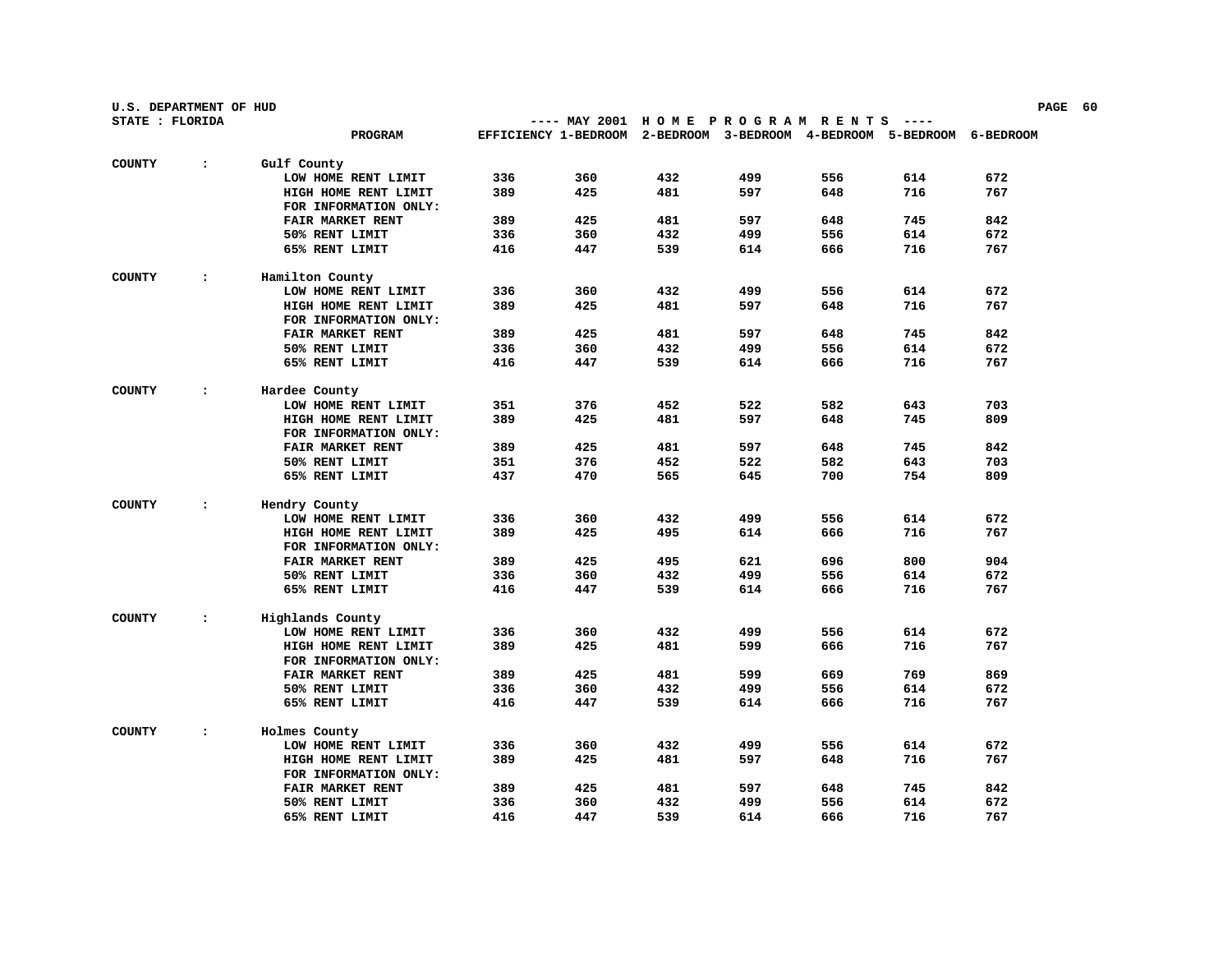| U.S. DEPARTMENT OF HUD<br>PAGE 60 |                |                         |     |                                                                        |     |     |     |       |     |  |
|-----------------------------------|----------------|-------------------------|-----|------------------------------------------------------------------------|-----|-----|-----|-------|-----|--|
| STATE : FLORIDA                   |                |                         |     | ---- MAY 2001 HOME PROGRAM RENTS                                       |     |     |     | ----- |     |  |
|                                   |                | PROGRAM                 |     | EFFICIENCY 1-BEDROOM 2-BEDROOM 3-BEDROOM 4-BEDROOM 5-BEDROOM 6-BEDROOM |     |     |     |       |     |  |
| <b>COUNTY</b>                     | $\ddot{\cdot}$ | Gulf County             |     |                                                                        |     |     |     |       |     |  |
|                                   |                | LOW HOME RENT LIMIT     | 336 | 360                                                                    | 432 | 499 | 556 | 614   | 672 |  |
|                                   |                | HIGH HOME RENT LIMIT    | 389 | 425                                                                    | 481 | 597 | 648 | 716   | 767 |  |
|                                   |                | FOR INFORMATION ONLY:   |     |                                                                        |     |     |     |       |     |  |
|                                   |                | <b>FAIR MARKET RENT</b> | 389 | 425                                                                    | 481 | 597 | 648 | 745   | 842 |  |
|                                   |                | 50% RENT LIMIT          | 336 | 360                                                                    | 432 | 499 | 556 | 614   | 672 |  |
|                                   |                | 65% RENT LIMIT          | 416 | 447                                                                    | 539 | 614 | 666 | 716   | 767 |  |
| <b>COUNTY</b>                     | $\ddot{\cdot}$ | Hamilton County         |     |                                                                        |     |     |     |       |     |  |
|                                   |                | LOW HOME RENT LIMIT     | 336 | 360                                                                    | 432 | 499 | 556 | 614   | 672 |  |
|                                   |                | HIGH HOME RENT LIMIT    | 389 | 425                                                                    | 481 | 597 | 648 | 716   | 767 |  |
|                                   |                | FOR INFORMATION ONLY:   |     |                                                                        |     |     |     |       |     |  |
|                                   |                | FAIR MARKET RENT        | 389 | 425                                                                    | 481 | 597 | 648 | 745   | 842 |  |
|                                   |                | 50% RENT LIMIT          | 336 | 360                                                                    | 432 | 499 | 556 | 614   | 672 |  |
|                                   |                | 65% RENT LIMIT          | 416 | 447                                                                    | 539 | 614 | 666 | 716   | 767 |  |
| <b>COUNTY</b>                     | $\cdot$        | Hardee County           |     |                                                                        |     |     |     |       |     |  |
|                                   |                | LOW HOME RENT LIMIT     | 351 | 376                                                                    | 452 | 522 | 582 | 643   | 703 |  |
|                                   |                | HIGH HOME RENT LIMIT    | 389 | 425                                                                    | 481 | 597 | 648 | 745   | 809 |  |
|                                   |                | FOR INFORMATION ONLY:   |     |                                                                        |     |     |     |       |     |  |
|                                   |                | FAIR MARKET RENT        | 389 | 425                                                                    | 481 | 597 | 648 | 745   | 842 |  |
|                                   |                | 50% RENT LIMIT          | 351 | 376                                                                    | 452 | 522 | 582 | 643   | 703 |  |
|                                   |                | 65% RENT LIMIT          | 437 | 470                                                                    | 565 | 645 | 700 | 754   | 809 |  |
| <b>COUNTY</b>                     | $\ddot{\cdot}$ | Hendry County           |     |                                                                        |     |     |     |       |     |  |
|                                   |                | LOW HOME RENT LIMIT     | 336 | 360                                                                    | 432 | 499 | 556 | 614   | 672 |  |
|                                   |                | HIGH HOME RENT LIMIT    | 389 | 425                                                                    | 495 | 614 | 666 | 716   | 767 |  |
|                                   |                | FOR INFORMATION ONLY:   |     |                                                                        |     |     |     |       |     |  |
|                                   |                | FAIR MARKET RENT        | 389 | 425                                                                    | 495 | 621 | 696 | 800   | 904 |  |
|                                   |                | 50% RENT LIMIT          | 336 | 360                                                                    | 432 | 499 | 556 | 614   | 672 |  |
|                                   |                | 65% RENT LIMIT          | 416 | 447                                                                    | 539 | 614 | 666 | 716   | 767 |  |
| <b>COUNTY</b>                     | $\ddot{\cdot}$ | Highlands County        |     |                                                                        |     |     |     |       |     |  |
|                                   |                | LOW HOME RENT LIMIT     | 336 | 360                                                                    | 432 | 499 | 556 | 614   | 672 |  |
|                                   |                | HIGH HOME RENT LIMIT    | 389 | 425                                                                    | 481 | 599 | 666 | 716   | 767 |  |
|                                   |                | FOR INFORMATION ONLY:   |     |                                                                        |     |     |     |       |     |  |
|                                   |                | FAIR MARKET RENT        | 389 | 425                                                                    | 481 | 599 | 669 | 769   | 869 |  |
|                                   |                | 50% RENT LIMIT          | 336 | 360                                                                    | 432 | 499 | 556 | 614   | 672 |  |
|                                   |                | 65% RENT LIMIT          | 416 | 447                                                                    | 539 | 614 | 666 | 716   | 767 |  |
| <b>COUNTY</b>                     | $\ddot{\cdot}$ | Holmes County           |     |                                                                        |     |     |     |       |     |  |
|                                   |                | LOW HOME RENT LIMIT     | 336 | 360                                                                    | 432 | 499 | 556 | 614   | 672 |  |
|                                   |                | HIGH HOME RENT LIMIT    | 389 | 425                                                                    | 481 | 597 | 648 | 716   | 767 |  |
|                                   |                | FOR INFORMATION ONLY:   |     |                                                                        |     |     |     |       |     |  |
|                                   |                | <b>FAIR MARKET RENT</b> | 389 | 425                                                                    | 481 | 597 | 648 | 745   | 842 |  |
|                                   |                | 50% RENT LIMIT          | 336 | 360                                                                    | 432 | 499 | 556 | 614   | 672 |  |
|                                   |                | 65% RENT LIMIT          | 416 | 447                                                                    | 539 | 614 | 666 | 716   | 767 |  |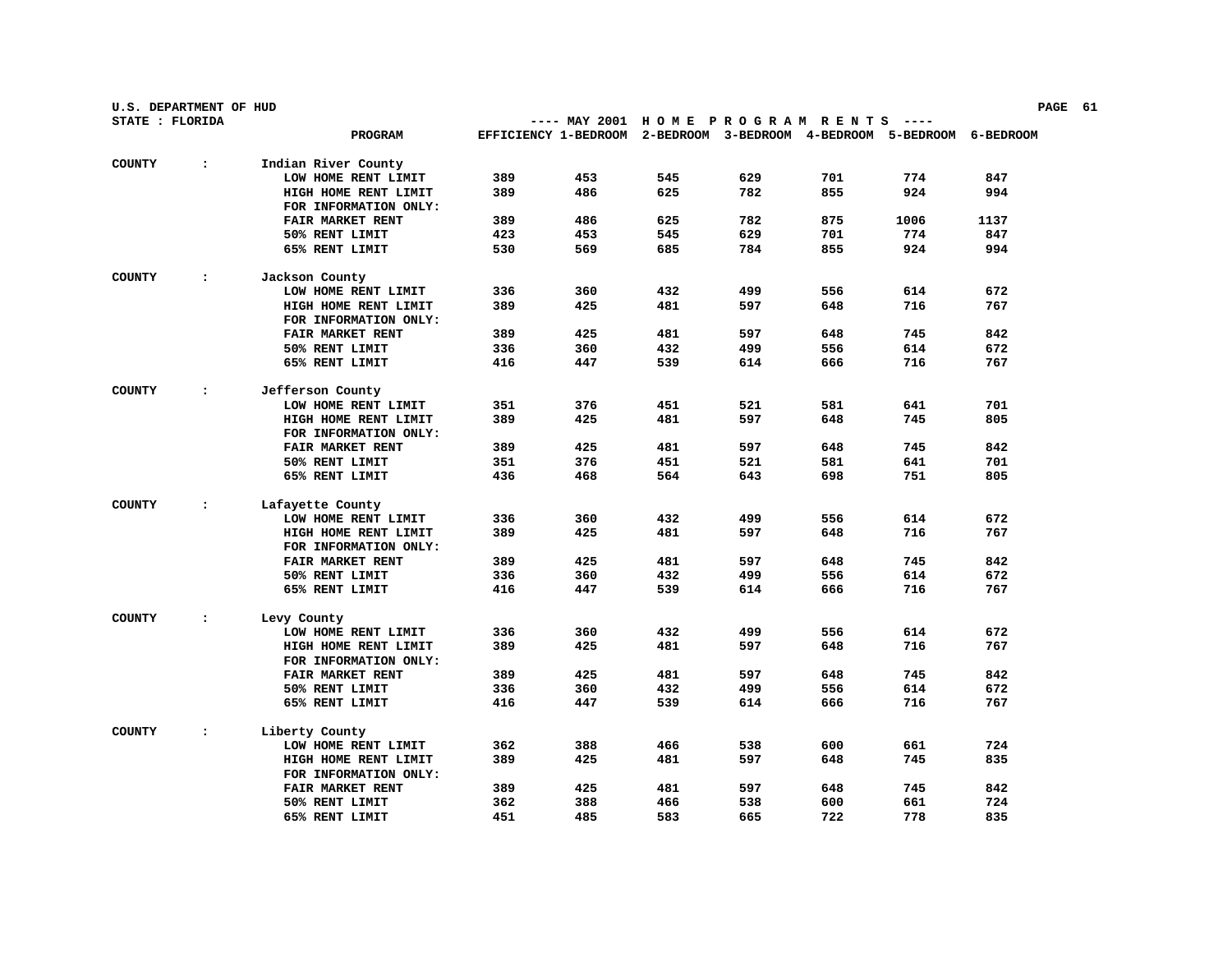| U.S. DEPARTMENT OF HUD |                |                         |     |                                                                        |     |     |     | PAGE 61 |      |  |  |
|------------------------|----------------|-------------------------|-----|------------------------------------------------------------------------|-----|-----|-----|---------|------|--|--|
| STATE : FLORIDA        |                |                         |     | ---- MAY 2001 HOME PROGRAM RENTS                                       |     |     |     |         |      |  |  |
|                        |                | <b>PROGRAM</b>          |     | EFFICIENCY 1-BEDROOM 2-BEDROOM 3-BEDROOM 4-BEDROOM 5-BEDROOM 6-BEDROOM |     |     |     |         |      |  |  |
| <b>COUNTY</b>          | $\ddot{\cdot}$ | Indian River County     |     |                                                                        |     |     |     |         |      |  |  |
|                        |                | LOW HOME RENT LIMIT     | 389 | 453                                                                    | 545 | 629 | 701 | 774     | 847  |  |  |
|                        |                | HIGH HOME RENT LIMIT    | 389 | 486                                                                    | 625 | 782 | 855 | 924     | 994  |  |  |
|                        |                | FOR INFORMATION ONLY:   |     |                                                                        |     |     |     |         |      |  |  |
|                        |                | FAIR MARKET RENT        | 389 | 486                                                                    | 625 | 782 | 875 | 1006    | 1137 |  |  |
|                        |                | 50% RENT LIMIT          | 423 | 453                                                                    | 545 | 629 | 701 | 774     | 847  |  |  |
|                        |                | 65% RENT LIMIT          | 530 | 569                                                                    | 685 | 784 | 855 | 924     | 994  |  |  |
| <b>COUNTY</b>          | $\ddot{\cdot}$ | Jackson County          |     |                                                                        |     |     |     |         |      |  |  |
|                        |                | LOW HOME RENT LIMIT     | 336 | 360                                                                    | 432 | 499 | 556 | 614     | 672  |  |  |
|                        |                | HIGH HOME RENT LIMIT    | 389 | 425                                                                    | 481 | 597 | 648 | 716     | 767  |  |  |
|                        |                | FOR INFORMATION ONLY:   |     |                                                                        |     |     |     |         |      |  |  |
|                        |                | FAIR MARKET RENT        | 389 | 425                                                                    | 481 | 597 | 648 | 745     | 842  |  |  |
|                        |                | 50% RENT LIMIT          | 336 | 360                                                                    | 432 | 499 | 556 | 614     | 672  |  |  |
|                        |                |                         | 416 |                                                                        |     |     |     |         | 767  |  |  |
|                        |                | 65% RENT LIMIT          |     | 447                                                                    | 539 | 614 | 666 | 716     |      |  |  |
| <b>COUNTY</b>          | $\ddot{\cdot}$ | Jefferson County        |     |                                                                        |     |     |     |         |      |  |  |
|                        |                | LOW HOME RENT LIMIT     | 351 | 376                                                                    | 451 | 521 | 581 | 641     | 701  |  |  |
|                        |                | HIGH HOME RENT LIMIT    | 389 | 425                                                                    | 481 | 597 | 648 | 745     | 805  |  |  |
|                        |                | FOR INFORMATION ONLY:   |     |                                                                        |     |     |     |         |      |  |  |
|                        |                | FAIR MARKET RENT        | 389 | 425                                                                    | 481 | 597 | 648 | 745     | 842  |  |  |
|                        |                | 50% RENT LIMIT          | 351 | 376                                                                    | 451 | 521 | 581 | 641     | 701  |  |  |
|                        |                | 65% RENT LIMIT          | 436 | 468                                                                    | 564 | 643 | 698 | 751     | 805  |  |  |
| <b>COUNTY</b>          | $\ddot{\cdot}$ | Lafayette County        |     |                                                                        |     |     |     |         |      |  |  |
|                        |                | LOW HOME RENT LIMIT     | 336 | 360                                                                    | 432 | 499 | 556 | 614     | 672  |  |  |
|                        |                | HIGH HOME RENT LIMIT    | 389 | 425                                                                    | 481 | 597 | 648 | 716     | 767  |  |  |
|                        |                | FOR INFORMATION ONLY:   |     |                                                                        |     |     |     |         |      |  |  |
|                        |                | <b>FAIR MARKET RENT</b> | 389 | 425                                                                    | 481 | 597 | 648 | 745     | 842  |  |  |
|                        |                | 50% RENT LIMIT          | 336 | 360                                                                    | 432 | 499 | 556 | 614     | 672  |  |  |
|                        |                | 65% RENT LIMIT          | 416 | 447                                                                    | 539 | 614 | 666 | 716     | 767  |  |  |
| <b>COUNTY</b>          | $\ddot{\cdot}$ | Levy County             |     |                                                                        |     |     |     |         |      |  |  |
|                        |                | LOW HOME RENT LIMIT     | 336 | 360                                                                    | 432 | 499 | 556 | 614     | 672  |  |  |
|                        |                | HIGH HOME RENT LIMIT    | 389 | 425                                                                    | 481 | 597 | 648 | 716     | 767  |  |  |
|                        |                | FOR INFORMATION ONLY:   |     |                                                                        |     |     |     |         |      |  |  |
|                        |                | FAIR MARKET RENT        | 389 | 425                                                                    | 481 | 597 | 648 | 745     | 842  |  |  |
|                        |                | 50% RENT LIMIT          | 336 | 360                                                                    | 432 | 499 | 556 | 614     | 672  |  |  |
|                        |                | 65% RENT LIMIT          | 416 | 447                                                                    | 539 | 614 | 666 | 716     | 767  |  |  |
|                        |                |                         |     |                                                                        |     |     |     |         |      |  |  |
| <b>COUNTY</b>          | $\ddot{\cdot}$ | Liberty County          |     |                                                                        |     |     |     |         |      |  |  |
|                        |                | LOW HOME RENT LIMIT     | 362 | 388                                                                    | 466 | 538 | 600 | 661     | 724  |  |  |
|                        |                | HIGH HOME RENT LIMIT    | 389 | 425                                                                    | 481 | 597 | 648 | 745     | 835  |  |  |
|                        |                | FOR INFORMATION ONLY:   |     |                                                                        |     |     |     |         |      |  |  |
|                        |                | <b>FAIR MARKET RENT</b> | 389 | 425                                                                    | 481 | 597 | 648 | 745     | 842  |  |  |
|                        |                | 50% RENT LIMIT          | 362 | 388                                                                    | 466 | 538 | 600 | 661     | 724  |  |  |
|                        |                | 65% RENT LIMIT          | 451 | 485                                                                    | 583 | 665 | 722 | 778     | 835  |  |  |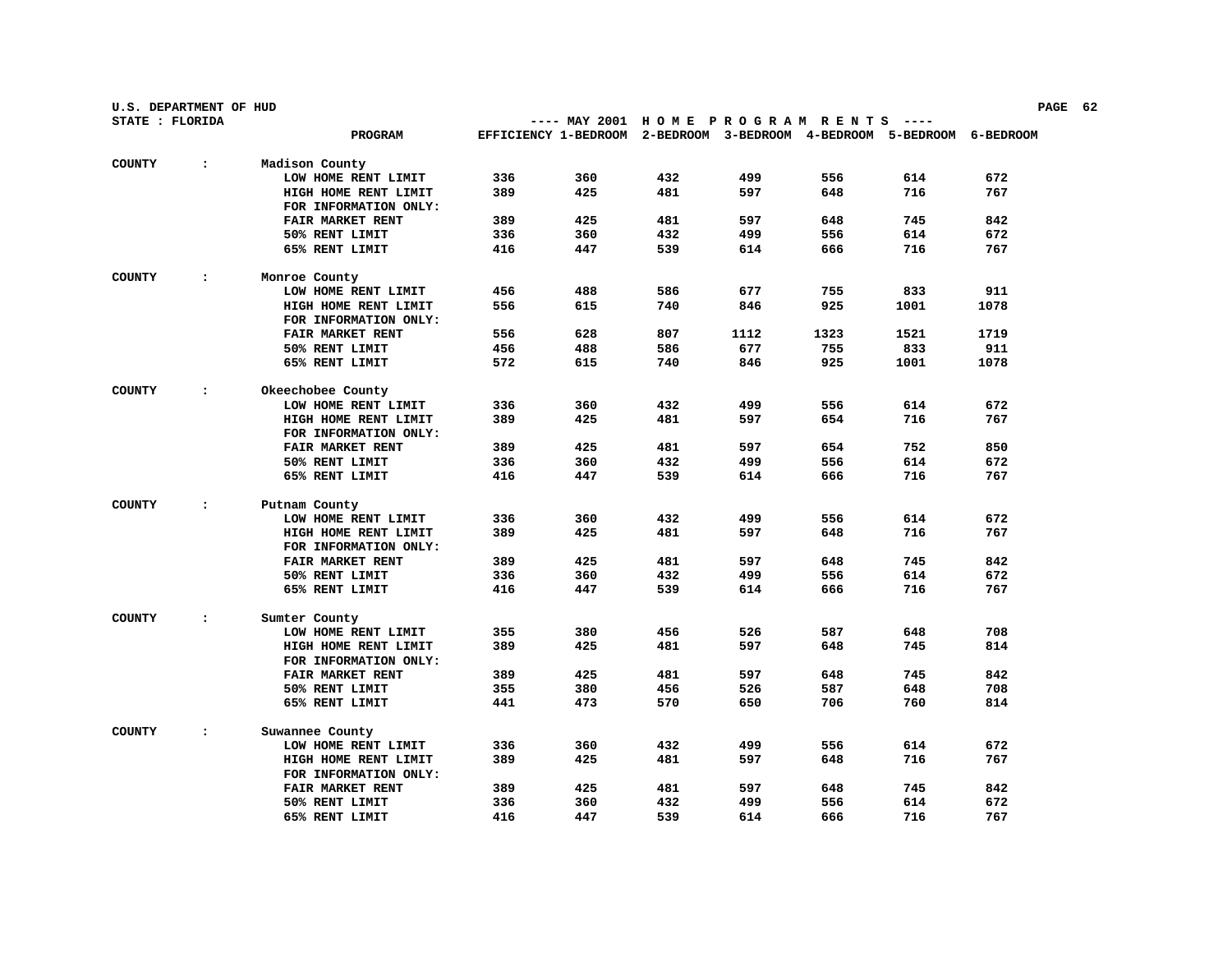| U.S. DEPARTMENT OF HUD<br>PAGE 62 |                |                         |     |                                                                        |     |      |      |      |      |  |
|-----------------------------------|----------------|-------------------------|-----|------------------------------------------------------------------------|-----|------|------|------|------|--|
| STATE : FLORIDA                   |                |                         |     | ---- MAY 2001 HOME PROGRAM RENTS ----                                  |     |      |      |      |      |  |
|                                   |                | PROGRAM                 |     | EFFICIENCY 1-BEDROOM 2-BEDROOM 3-BEDROOM 4-BEDROOM 5-BEDROOM 6-BEDROOM |     |      |      |      |      |  |
| <b>COUNTY</b>                     | $\ddot{\cdot}$ | Madison County          |     |                                                                        |     |      |      |      |      |  |
|                                   |                | LOW HOME RENT LIMIT     | 336 | 360                                                                    | 432 | 499  | 556  | 614  | 672  |  |
|                                   |                | HIGH HOME RENT LIMIT    | 389 | 425                                                                    | 481 | 597  | 648  | 716  | 767  |  |
|                                   |                | FOR INFORMATION ONLY:   |     |                                                                        |     |      |      |      |      |  |
|                                   |                | <b>FAIR MARKET RENT</b> | 389 | 425                                                                    | 481 | 597  | 648  | 745  | 842  |  |
|                                   |                | 50% RENT LIMIT          | 336 | 360                                                                    | 432 | 499  | 556  | 614  | 672  |  |
|                                   |                | 65% RENT LIMIT          | 416 | 447                                                                    | 539 | 614  | 666  | 716  | 767  |  |
| <b>COUNTY</b>                     | $\ddot{\cdot}$ | Monroe County           |     |                                                                        |     |      |      |      |      |  |
|                                   |                | LOW HOME RENT LIMIT     | 456 | 488                                                                    | 586 | 677  | 755  | 833  | 911  |  |
|                                   |                | HIGH HOME RENT LIMIT    | 556 | 615                                                                    | 740 | 846  | 925  | 1001 | 1078 |  |
|                                   |                | FOR INFORMATION ONLY:   |     |                                                                        |     |      |      |      |      |  |
|                                   |                | FAIR MARKET RENT        | 556 | 628                                                                    | 807 | 1112 | 1323 | 1521 | 1719 |  |
|                                   |                | 50% RENT LIMIT          | 456 | 488                                                                    | 586 | 677  | 755  | 833  | 911  |  |
|                                   |                | 65% RENT LIMIT          | 572 | 615                                                                    | 740 | 846  | 925  | 1001 | 1078 |  |
| <b>COUNTY</b>                     | $\ddot{\cdot}$ | Okeechobee County       |     |                                                                        |     |      |      |      |      |  |
|                                   |                | LOW HOME RENT LIMIT     | 336 | 360                                                                    | 432 | 499  | 556  | 614  | 672  |  |
|                                   |                | HIGH HOME RENT LIMIT    | 389 | 425                                                                    | 481 | 597  | 654  | 716  | 767  |  |
|                                   |                | FOR INFORMATION ONLY:   |     |                                                                        |     |      |      |      |      |  |
|                                   |                | FAIR MARKET RENT        | 389 | 425                                                                    | 481 | 597  | 654  | 752  | 850  |  |
|                                   |                | 50% RENT LIMIT          | 336 | 360                                                                    | 432 | 499  | 556  | 614  | 672  |  |
|                                   |                | 65% RENT LIMIT          | 416 | 447                                                                    | 539 | 614  | 666  | 716  | 767  |  |
| <b>COUNTY</b>                     | $\ddot{\cdot}$ | Putnam County           |     |                                                                        |     |      |      |      |      |  |
|                                   |                | LOW HOME RENT LIMIT     | 336 | 360                                                                    | 432 | 499  | 556  | 614  | 672  |  |
|                                   |                | HIGH HOME RENT LIMIT    | 389 | 425                                                                    | 481 | 597  | 648  | 716  | 767  |  |
|                                   |                | FOR INFORMATION ONLY:   |     |                                                                        |     |      |      |      |      |  |
|                                   |                | FAIR MARKET RENT        | 389 | 425                                                                    | 481 | 597  | 648  | 745  | 842  |  |
|                                   |                | 50% RENT LIMIT          | 336 | 360                                                                    | 432 | 499  | 556  | 614  | 672  |  |
|                                   |                | 65% RENT LIMIT          | 416 | 447                                                                    | 539 | 614  | 666  | 716  | 767  |  |
| <b>COUNTY</b>                     | $\ddot{\cdot}$ | Sumter County           |     |                                                                        |     |      |      |      |      |  |
|                                   |                | LOW HOME RENT LIMIT     | 355 | 380                                                                    | 456 | 526  | 587  | 648  | 708  |  |
|                                   |                | HIGH HOME RENT LIMIT    | 389 | 425                                                                    | 481 | 597  | 648  | 745  | 814  |  |
|                                   |                | FOR INFORMATION ONLY:   |     |                                                                        |     |      |      |      |      |  |
|                                   |                | FAIR MARKET RENT        | 389 | 425                                                                    | 481 | 597  | 648  | 745  | 842  |  |
|                                   |                | 50% RENT LIMIT          | 355 | 380                                                                    | 456 | 526  | 587  | 648  | 708  |  |
|                                   |                | 65% RENT LIMIT          | 441 | 473                                                                    | 570 | 650  | 706  | 760  | 814  |  |
| <b>COUNTY</b>                     | $\ddot{\cdot}$ | Suwannee County         |     |                                                                        |     |      |      |      |      |  |
|                                   |                | LOW HOME RENT LIMIT     | 336 | 360                                                                    | 432 | 499  | 556  | 614  | 672  |  |
|                                   |                | HIGH HOME RENT LIMIT    | 389 | 425                                                                    | 481 | 597  | 648  | 716  | 767  |  |
|                                   |                | FOR INFORMATION ONLY:   |     |                                                                        |     |      |      |      |      |  |
|                                   |                | <b>FAIR MARKET RENT</b> | 389 | 425                                                                    | 481 | 597  | 648  | 745  | 842  |  |
|                                   |                | 50% RENT LIMIT          | 336 | 360                                                                    | 432 | 499  | 556  | 614  | 672  |  |
|                                   |                | 65% RENT LIMIT          | 416 | 447                                                                    | 539 | 614  | 666  | 716  | 767  |  |